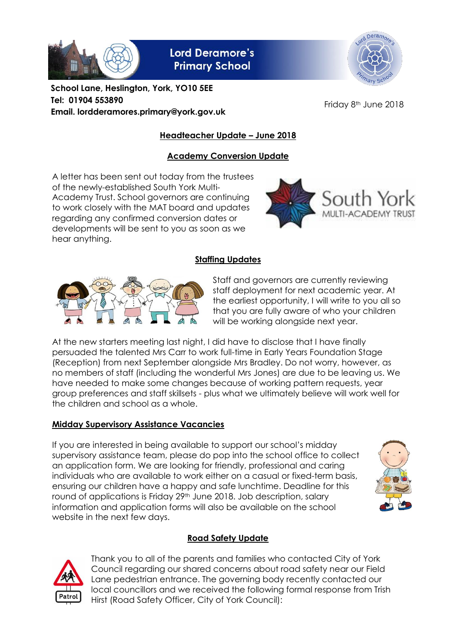

**Lord Deramore's Primary School** 



**School Lane, Heslington, York, YO10 5EE Tel: 01904 553890 Email. lordderamores.primary@york.gov.uk**

Friday 8<sup>th</sup> June 2018

# **Headteacher Update – June 2018**

# **Academy Conversion Update**

A letter has been sent out today from the trustees of the newly-established South York Multi-Academy Trust. School governors are continuing to work closely with the MAT board and updates regarding any confirmed conversion dates or developments will be sent to you as soon as we hear anything.



### **Staffing Updates**



Staff and governors are currently reviewing staff deployment for next academic year. At the earliest opportunity, I will write to you all so that you are fully aware of who your children will be working alongside next year.

At the new starters meeting last night, I did have to disclose that I have finally persuaded the talented Mrs Carr to work full-time in Early Years Foundation Stage (Reception) from next September alongside Mrs Bradley. Do not worry, however, as no members of staff (including the wonderful Mrs Jones) are due to be leaving us. We have needed to make some changes because of working pattern requests, year group preferences and staff skillsets - plus what we ultimately believe will work well for the children and school as a whole.

#### **Midday Supervisory Assistance Vacancies**

If you are interested in being available to support our school's midday supervisory assistance team, please do pop into the school office to collect an application form. We are looking for friendly, professional and caring individuals who are available to work either on a casual or fixed-term basis, ensuring our children have a happy and safe lunchtime. Deadline for this round of applications is Friday 29<sup>th</sup> June 2018. Job description, salary information and application forms will also be available on the school website in the next few days.



# **Road Safety Update**



Thank you to all of the parents and families who contacted City of York Council regarding our shared concerns about road safety near our Field Lane pedestrian entrance. The governing body recently contacted our local councillors and we received the following formal response from Trish Hirst (Road Safety Officer, City of York Council):